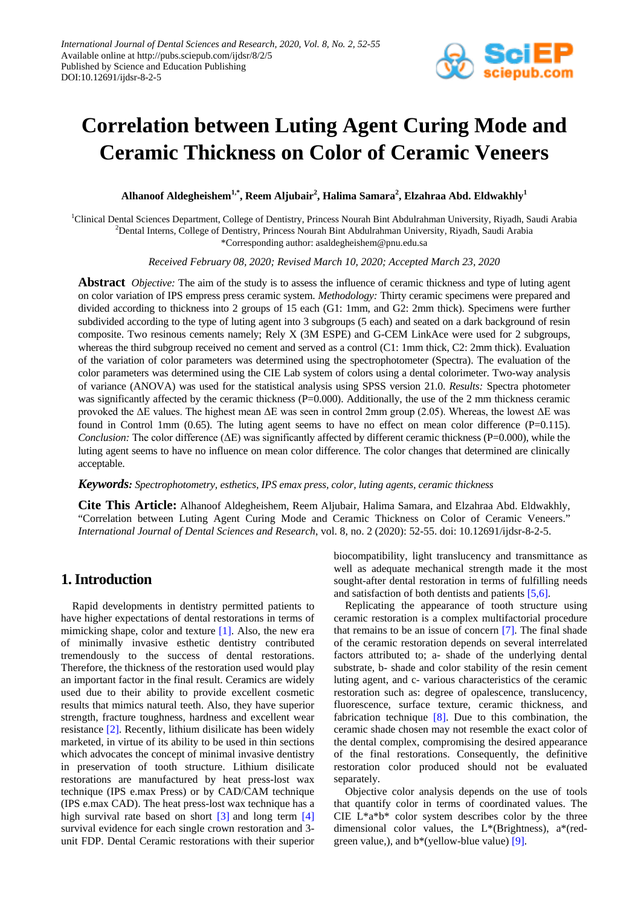

# **Correlation between Luting Agent Curing Mode and Ceramic Thickness on Color of Ceramic Veneers**

**Alhanoof Aldegheishem1,\*, Reem Aljubair2 , Halima Samara<sup>2</sup> , Elzahraa Abd. Eldwakhly<sup>1</sup>**

<sup>1</sup>Clinical Dental Sciences Department, College of Dentistry, Princess Nourah Bint Abdulrahman University, Riyadh, Saudi Arabia 2 Dental Interns, College of Dentistry, Princess Nourah Bint Abdulrahman University, Riyadh, Saudi Arabia \*Corresponding author: asaldegheishem@pnu.edu.sa

*Received February 08, 2020; Revised March 10, 2020; Accepted March 23, 2020*

**Abstract** *Objective:* The aim of the study is to assess the influence of ceramic thickness and type of luting agent on color variation of IPS empress press ceramic system. *Methodology:* Thirty ceramic specimens were prepared and divided according to thickness into 2 groups of 15 each (G1: 1mm, and G2: 2mm thick). Specimens were further subdivided according to the type of luting agent into 3 subgroups (5 each) and seated on a dark background of resin composite. Two resinous cements namely; Rely X (3M ESPE) and G-CEM LinkAce were used for 2 subgroups, whereas the third subgroup received no cement and served as a control (C1: 1mm thick, C2: 2mm thick). Evaluation of the variation of color parameters was determined using the spectrophotometer (Spectra). The evaluation of the color parameters was determined using the CIE Lab system of colors using a dental colorimeter. Two-way analysis of variance (ANOVA) was used for the statistical analysis using SPSS version 21.0. *Results:* Spectra photometer was significantly affected by the ceramic thickness  $(P=0.000)$ . Additionally, the use of the 2 mm thickness ceramic provoked the ΔE values. The highest mean ΔE was seen in control 2mm group (2.05). Whereas, the lowest ΔE was found in Control 1mm  $(0.65)$ . The luting agent seems to have no effect on mean color difference  $(P=0.115)$ . *Conclusion:* The color difference (ΔE) was significantly affected by different ceramic thickness (P=0.000), while the luting agent seems to have no influence on mean color difference. The color changes that determined are clinically acceptable.

#### *Keywords: Spectrophotometry, esthetics, IPS emax press, color, luting agents, ceramic thickness*

**Cite This Article:** Alhanoof Aldegheishem, Reem Aljubair, Halima Samara, and Elzahraa Abd. Eldwakhly, "Correlation between Luting Agent Curing Mode and Ceramic Thickness on Color of Ceramic Veneers." *International Journal of Dental Sciences and Research*, vol. 8, no. 2 (2020): 52-55. doi: 10.12691/ijdsr-8-2-5.

## **1. Introduction**

Rapid developments in dentistry permitted patients to have higher expectations of dental restorations in terms of mimicking shape, color and texture [\[1\].](#page-2-0) Also, the new era of minimally invasive esthetic dentistry contributed tremendously to the success of dental restorations. Therefore, the thickness of the restoration used would play an important factor in the final result. Ceramics are widely used due to their ability to provide excellent cosmetic results that mimics natural teeth. Also, they have superior strength, fracture toughness, hardness and excellent wear resistance [\[2\].](#page-2-1) Recently, lithium disilicate has been widely marketed, in virtue of its ability to be used in thin sections which advocates the concept of minimal invasive dentistry in preservation of tooth structure. Lithium disilicate restorations are manufactured by heat press-lost wax technique (IPS e.max Press) or by CAD/CAM technique (IPS e.max CAD). The heat press-lost wax technique has a high survival rate based on short [\[3\]](#page-2-2) and long term [\[4\]](#page-2-3) survival evidence for each single crown restoration and 3 unit FDP. Dental Ceramic restorations with their superior biocompatibility, light translucency and transmittance as well as adequate mechanical strength made it the most sought-after dental restoration in terms of fulfilling needs and satisfaction of both dentists and patients [\[5,6\].](#page-2-4)

Replicating the appearance of tooth structure using ceramic restoration is a complex multifactorial procedure that remains to be an issue of concern [\[7\].](#page-2-5) The final shade of the ceramic restoration depends on several interrelated factors attributed to; a- shade of the underlying dental substrate, b- shade and color stability of the resin cement luting agent, and c- various characteristics of the ceramic restoration such as: degree of opalescence, translucency, fluorescence, surface texture, ceramic thickness, and fabrication technique [\[8\].](#page-2-6) Due to this combination, the ceramic shade chosen may not resemble the exact color of the dental complex, compromising the desired appearance of the final restorations. Consequently, the definitive restoration color produced should not be evaluated separately.

Objective color analysis depends on the use of tools that quantify color in terms of coordinated values. The CIE L\*a\*b\* color system describes color by the three dimensional color values, the L\*(Brightness), a\*(redgreen value,), and b\*(yellow-blue value) [\[9\].](#page-2-7)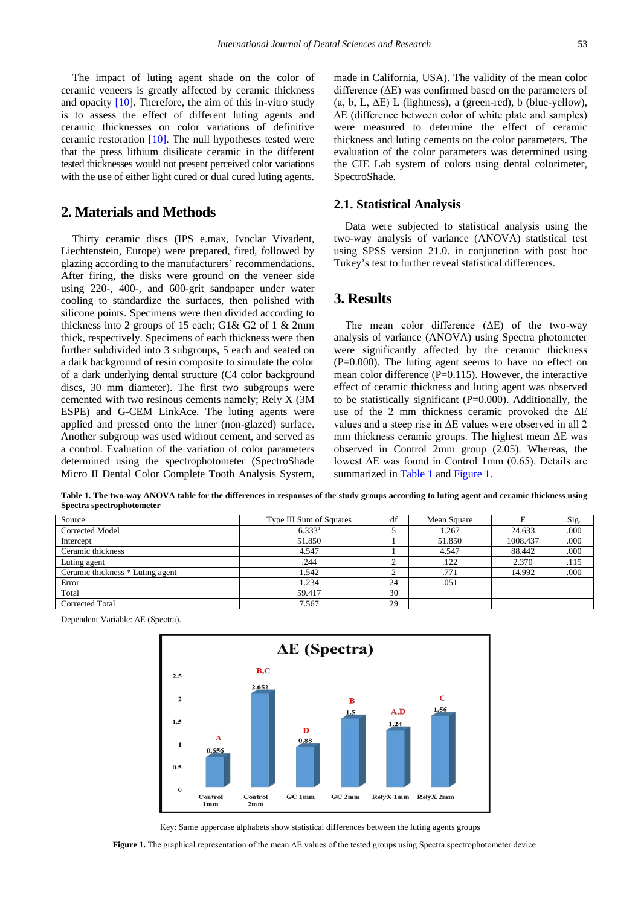The impact of luting agent shade on the color of ceramic veneers is greatly affected by ceramic thickness and opacity [\[10\].](#page-2-8) Therefore, the aim of this in-vitro study is to assess the effect of different luting agents and ceramic thicknesses on color variations of definitive ceramic restoration [\[10\].](#page-2-8) The null hypotheses tested were that the press lithium disilicate ceramic in the different tested thicknesses would not present perceived color variations with the use of either light cured or dual cured luting agents.

#### **2. Materials and Methods**

Thirty ceramic discs (IPS e.max, Ivoclar Vivadent, Liechtenstein, Europe) were prepared, fired, followed by glazing according to the manufacturers' recommendations. After firing, the disks were ground on the veneer side using 220-, 400-, and 600-grit sandpaper under water cooling to standardize the surfaces, then polished with silicone points. Specimens were then divided according to thickness into 2 groups of 15 each; G1& G2 of 1 & 2mm thick, respectively. Specimens of each thickness were then further subdivided into 3 subgroups, 5 each and seated on a dark background of resin composite to simulate the color of a dark underlying dental structure (C4 color background discs, 30 mm diameter). The first two subgroups were cemented with two resinous cements namely; Rely X (3M ESPE) and G-CEM LinkAce. The luting agents were applied and pressed onto the inner (non-glazed) surface. Another subgroup was used without cement, and served as a control. Evaluation of the variation of color parameters determined using the spectrophotometer (SpectroShade Micro II Dental Color Complete Tooth Analysis System, made in California, USA). The validity of the mean color difference (ΔE) was confirmed based on the parameters of (a, b, L,  $\Delta E$ ) L (lightness), a (green-red), b (blue-yellow), ΔE (difference between color of white plate and samples) were measured to determine the effect of ceramic thickness and luting cements on the color parameters. The evaluation of the color parameters was determined using the CIE Lab system of colors using dental colorimeter, SpectroShade.

#### **2.1. Statistical Analysis**

Data were subjected to statistical analysis using the two-way analysis of variance (ANOVA) statistical test using SPSS version 21.0. in conjunction with post hoc Tukey's test to further reveal statistical differences.

#### **3. Results**

The mean color difference (ΔE) of the two-way analysis of variance (ANOVA) using Spectra photometer were significantly affected by the ceramic thickness  $(P=0.000)$ . The luting agent seems to have no effect on mean color difference  $(P=0.115)$ . However, the interactive effect of ceramic thickness and luting agent was observed to be statistically significant (P=0.000). Additionally, the use of the 2 mm thickness ceramic provoked the ΔE values and a steep rise in ΔE values were observed in all 2 mm thickness ceramic groups. The highest mean  $\Delta E$  was observed in Control 2mm group (2.05). Whereas, the lowest ΔE was found in Control 1mm (0.65). Details are summarized in [Table 1](#page-1-0) an[d Figure 1.](#page-1-1)

**Table 1. The two-way ANOVA table for the differences in responses of the study groups according to luting agent and ceramic thickness using Spectra spectrophotometer**

<span id="page-1-0"></span>

| Source                           | Type III Sum of Squares | df | Mean Square |          | Sig. |
|----------------------------------|-------------------------|----|-------------|----------|------|
| Corrected Model                  | $6.333^{a}$             |    | 1.267       | 24.633   | .000 |
| Intercept                        | 51.850                  |    | 51.850      | 1008.437 | .000 |
| Ceramic thickness                | 4.547                   |    | 4.547       | 88.442   | .000 |
| Luting agent                     | .244                    |    | .122        | 2.370    | .115 |
| Ceramic thickness * Luting agent | 1.542                   |    | .771        | 14.992   | .000 |
| Error                            | 1.234                   | 24 | .051        |          |      |
| Total                            | 59.417                  | 30 |             |          |      |
| <b>Corrected Total</b>           | 7.567                   | 29 |             |          |      |

<span id="page-1-1"></span>Dependent Variable: ΔE (Spectra).



Key: Same uppercase alphabets show statistical differences between the luting agents groups

**Figure 1.** The graphical representation of the mean ΔE values of the tested groups using Spectra spectrophotometer device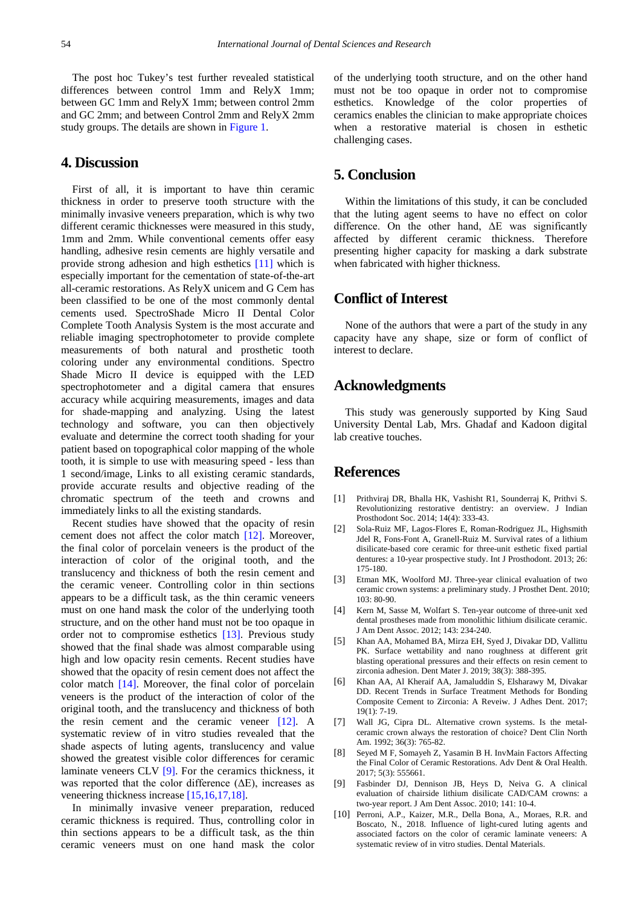The post hoc Tukey's test further revealed statistical differences between control 1mm and RelyX 1mm; between GC 1mm and RelyX 1mm; between control 2mm and GC 2mm; and between Control 2mm and RelyX 2mm study groups. The details are shown in [Figure 1.](#page-1-1)

#### **4. Discussion**

First of all, it is important to have thin ceramic thickness in order to preserve tooth structure with the minimally invasive veneers preparation, which is why two different ceramic thicknesses were measured in this study, 1mm and 2mm. While conventional cements offer easy handling, adhesive resin cements are highly versatile and provide strong adhesion and high esthetics [\[11\]](#page-3-0) which is especially important for the cementation of state-of-the-art all-ceramic restorations. As RelyX unicem and G Cem has been classified to be one of the most commonly dental cements used. SpectroShade Micro II Dental Color Complete Tooth Analysis System is the most accurate and reliable imaging spectrophotometer to provide complete measurements of both natural and prosthetic tooth coloring under any environmental conditions. Spectro Shade Micro II device is equipped with the LED spectrophotometer and a digital camera that ensures accuracy while acquiring measurements, images and data for shade-mapping and analyzing. Using the latest technology and software, you can then objectively evaluate and determine the correct tooth shading for your patient based on topographical color mapping of the whole tooth, it is simple to use with measuring speed - less than 1 second/image, Links to all existing ceramic standards, provide accurate results and objective reading of the chromatic spectrum of the teeth and crowns and immediately links to all the existing standards.

Recent studies have showed that the opacity of resin cement does not affect the color match [\[12\].](#page-3-1) Moreover, the final color of porcelain veneers is the product of the interaction of color of the original tooth, and the translucency and thickness of both the resin cement and the ceramic veneer. Controlling color in thin sections appears to be a difficult task, as the thin ceramic veneers must on one hand mask the color of the underlying tooth structure, and on the other hand must not be too opaque in order not to compromise esthetics [\[13\].](#page-3-2) Previous study showed that the final shade was almost comparable using high and low opacity resin cements. Recent studies have showed that the opacity of resin cement does not affect the color match [\[14\].](#page-3-3) Moreover, the final color of porcelain veneers is the product of the interaction of color of the original tooth, and the translucency and thickness of both the resin cement and the ceramic veneer [\[12\].](#page-3-1) A systematic review of in vitro studies revealed that the shade aspects of luting agents, translucency and value showed the greatest visible color differences for ceramic laminate veneers CLV [\[9\].](#page-2-7) For the ceramics thickness, it was reported that the color difference  $(\Delta E)$ , increases as veneering thickness increase [\[15,16,17,18\].](#page-3-4)

In minimally invasive veneer preparation, reduced ceramic thickness is required. Thus, controlling color in thin sections appears to be a difficult task, as the thin ceramic veneers must on one hand mask the color of the underlying tooth structure, and on the other hand must not be too opaque in order not to compromise esthetics. Knowledge of the color properties of ceramics enables the clinician to make appropriate choices when a restorative material is chosen in esthetic challenging cases.

# **5. Conclusion**

Within the limitations of this study, it can be concluded that the luting agent seems to have no effect on color difference. On the other hand, ΔE was significantly affected by different ceramic thickness. Therefore presenting higher capacity for masking a dark substrate when fabricated with higher thickness.

### **Conflict of Interest**

None of the authors that were a part of the study in any capacity have any shape, size or form of conflict of interest to declare.

### **Acknowledgments**

This study was generously supported by King Saud University Dental Lab, Mrs. Ghadaf and Kadoon digital lab creative touches.

#### **References**

- <span id="page-2-0"></span>[1] Prithviraj DR, Bhalla HK, Vashisht R1, Sounderraj K, Prithvi S. Revolutionizing restorative dentistry: an overview. J Indian Prosthodont Soc. 2014; 14(4): 333-43.
- <span id="page-2-1"></span>[2] Sola-Ruiz MF, Lagos-Flores E, Roman-Rodriguez JL, Highsmith Jdel R, Fons-Font A, Granell-Ruiz M. Survival rates of a lithium disilicate-based core ceramic for three-unit esthetic fixed partial dentures: a 10-year prospective study. Int J Prosthodont. 2013; 26: 175-180.
- <span id="page-2-2"></span>[3] Etman MK, Woolford MJ. Three-year clinical evaluation of two ceramic crown systems: a preliminary study. J Prosthet Dent. 2010; 103: 80-90.
- <span id="page-2-3"></span>[4] Kern M, Sasse M, Wolfart S. Ten-year outcome of three-unit xed dental prostheses made from monolithic lithium disilicate ceramic. J Am Dent Assoc. 2012; 143: 234-240.
- <span id="page-2-4"></span>[5] Khan AA, Mohamed BA, Mirza EH, Syed J, Divakar DD, Vallittu PK. Surface wettability and nano roughness at different grit blasting operational pressures and their effects on resin cement to zirconia adhesion. Dent Mater J. 2019; 38(3): 388-395.
- [6] Khan AA, Al Kheraif AA, Jamaluddin S, Elsharawy M, Divakar DD. Recent Trends in Surface Treatment Methods for Bonding Composite Cement to Zirconia: A Reveiw. J Adhes Dent. 2017; 19(1): 7-19.
- <span id="page-2-5"></span>[7] Wall JG, Cipra DL. Alternative crown systems. Is the metalceramic crown always the restoration of choice? Dent Clin North Am. 1992; 36(3): 765-82.
- <span id="page-2-6"></span>[8] Seyed M F, Somayeh Z, Yasamin B H. InvMain Factors Affecting the Final Color of Ceramic Restorations. Adv Dent & Oral Health. 2017; 5(3): 555661.
- <span id="page-2-7"></span>[9] Fasbinder DJ, Dennison JB, Heys D, Neiva G. A clinical evaluation of chairside lithium disilicate CAD/CAM crowns: a two-year report. J Am Dent Assoc. 2010; 141: 10-4.
- <span id="page-2-8"></span>[10] Perroni, A.P., Kaizer, M.R., Della Bona, A., Moraes, R.R. and Boscato, N., 2018. Influence of light-cured luting agents and associated factors on the color of ceramic laminate veneers: A systematic review of in vitro studies. Dental Materials.